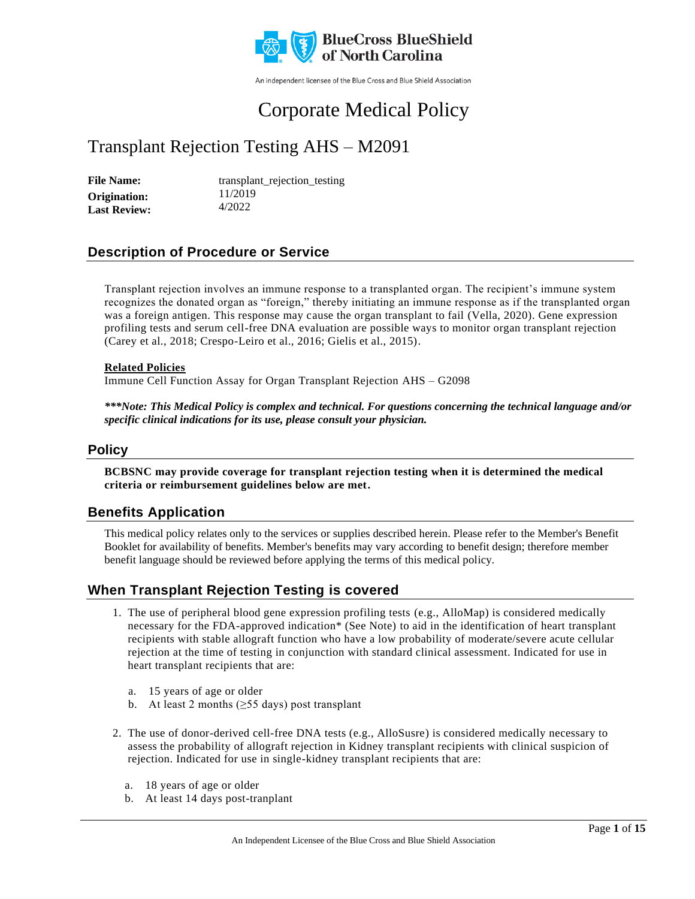

An independent licensee of the Blue Cross and Blue Shield Association

# Corporate Medical Policy

## Transplant Rejection Testing AHS – M2091

File Name: transplant\_rejection\_testing 11/2019 4/2022 **Origination: Last Review:**

### **Description of Procedure or Service**

Transplant rejection involves an immune response to a transplanted organ. The recipient's immune system recognizes the donated organ as "foreign," thereby initiating an immune response as if the transplanted organ was a foreign antigen. This response may cause the organ transplant to fail (Vella, 2020). Gene expression profiling tests and serum cell-free DNA evaluation are possible ways to monitor organ transplant rejection (Carey et al., 2018; Crespo-Leiro et al., 2016; Gielis et al., 2015).

#### **Related Policies**

Immune Cell Function Assay for Organ Transplant Rejection AHS – G2098

*\*\*\*Note: This Medical Policy is complex and technical. For questions concerning the technical language and/or specific clinical indications for its use, please consult your physician.*

#### **Policy**

**BCBSNC may provide coverage for transplant rejection testing when it is determined the medical criteria or reimbursement guidelines below are met.**

### **Benefits Application**

This medical policy relates only to the services or supplies described herein. Please refer to the Member's Benefit Booklet for availability of benefits. Member's benefits may vary according to benefit design; therefore member benefit language should be reviewed before applying the terms of this medical policy.

### **When Transplant Rejection Testing is covered**

- 1. The use of peripheral blood gene expression profiling tests (e.g., AlloMap) is considered medically necessary for the FDA-approved indication\* (See Note) to aid in the identification of heart transplant recipients with stable allograft function who have a low probability of moderate/severe acute cellular rejection at the time of testing in conjunction with standard clinical assessment. Indicated for use in heart transplant recipients that are:
	- a. 15 years of age or older
	- b. At least 2 months (≥55 days) post transplant
- 2. The use of donor-derived cell-free DNA tests (e.g., AlloSusre) is considered medically necessary to assess the probability of allograft rejection in Kidney transplant recipients with clinical suspicion of rejection. Indicated for use in single-kidney transplant recipients that are:
	- a. 18 years of age or older
	- b. At least 14 days post-tranplant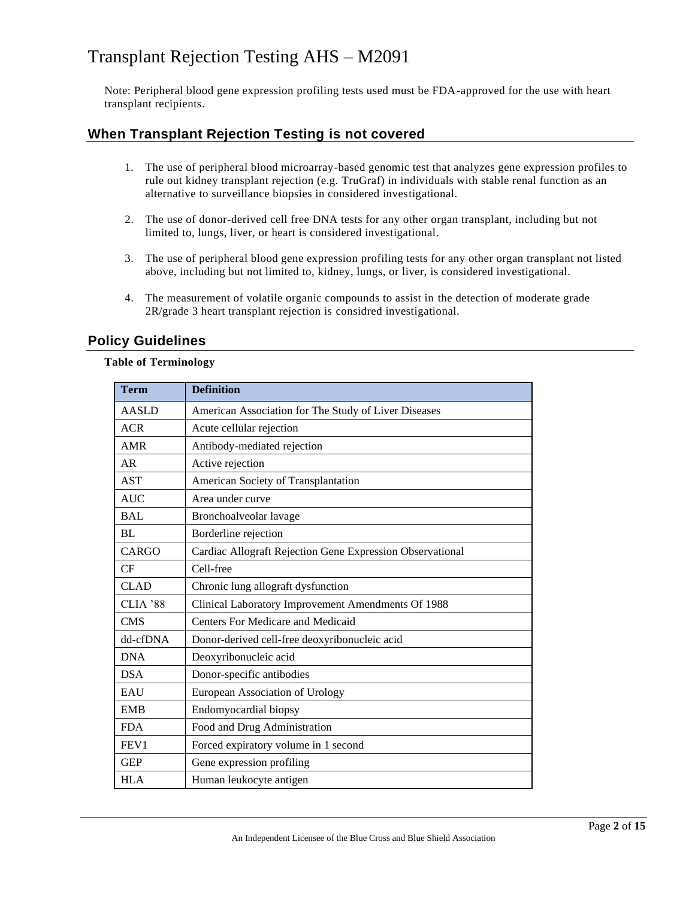Note: Peripheral blood gene expression profiling tests used must be FDA-approved for the use with heart transplant recipients.

### **When Transplant Rejection Testing is not covered**

- 1. The use of peripheral blood microarray-based genomic test that analyzes gene expression profiles to rule out kidney transplant rejection (e.g. TruGraf) in individuals with stable renal function as an alternative to surveillance biopsies in considered investigational.
- 2. The use of donor-derived cell free DNA tests for any other organ transplant, including but not limited to, lungs, liver, or heart is considered investigational.
- 3. The use of peripheral blood gene expression profiling tests for any other organ transplant not listed above, including but not limited to, kidney, lungs, or liver, is considered investigational.
- 4. The measurement of volatile organic compounds to assist in the detection of moderate grade 2R/grade 3 heart transplant rejection is considred investigational.

### **Policy Guidelines**

#### **Table of Terminology**

| <b>Term</b>  | <b>Definition</b>                                         |
|--------------|-----------------------------------------------------------|
| <b>AASLD</b> | American Association for The Study of Liver Diseases      |
| <b>ACR</b>   | Acute cellular rejection                                  |
| <b>AMR</b>   | Antibody-mediated rejection                               |
| AR           | Active rejection                                          |
| <b>AST</b>   | American Society of Transplantation                       |
| <b>AUC</b>   | Area under curve                                          |
| <b>BAL</b>   | Bronchoalveolar lavage                                    |
| <b>BL</b>    | Borderline rejection                                      |
| <b>CARGO</b> | Cardiac Allograft Rejection Gene Expression Observational |
| CF           | Cell-free                                                 |
| <b>CLAD</b>  | Chronic lung allograft dysfunction                        |
| CLIA '88     | Clinical Laboratory Improvement Amendments Of 1988        |
| <b>CMS</b>   | Centers For Medicare and Medicaid                         |
| dd-cfDNA     | Donor-derived cell-free deoxyribonucleic acid             |
| <b>DNA</b>   | Deoxyribonucleic acid                                     |
| <b>DSA</b>   | Donor-specific antibodies                                 |
| EAU          | European Association of Urology                           |
| <b>EMB</b>   | Endomyocardial biopsy                                     |
| <b>FDA</b>   | Food and Drug Administration                              |
| FEV1         | Forced expiratory volume in 1 second                      |
| <b>GEP</b>   | Gene expression profiling                                 |
| <b>HLA</b>   | Human leukocyte antigen                                   |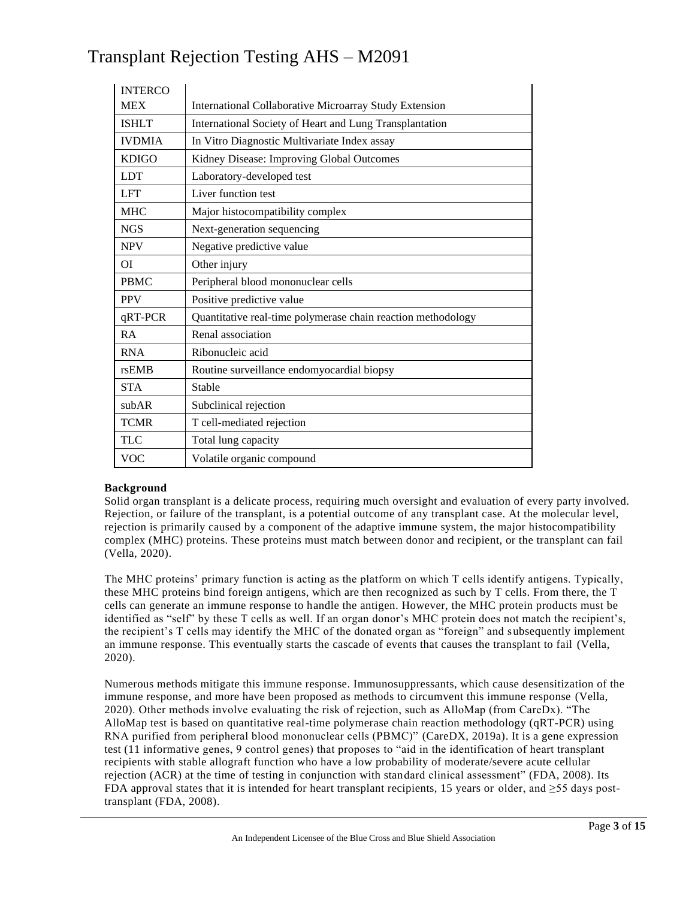| <b>INTERCO</b> |                                                              |
|----------------|--------------------------------------------------------------|
| <b>MEX</b>     | International Collaborative Microarray Study Extension       |
| <b>ISHLT</b>   | International Society of Heart and Lung Transplantation      |
| <b>IVDMIA</b>  | In Vitro Diagnostic Multivariate Index assay                 |
| <b>KDIGO</b>   | Kidney Disease: Improving Global Outcomes                    |
| <b>LDT</b>     | Laboratory-developed test                                    |
| <b>LFT</b>     | Liver function test                                          |
| <b>MHC</b>     | Major histocompatibility complex                             |
| <b>NGS</b>     | Next-generation sequencing                                   |
| <b>NPV</b>     | Negative predictive value                                    |
| ΟI             | Other injury                                                 |
| <b>PBMC</b>    | Peripheral blood mononuclear cells                           |
| <b>PPV</b>     | Positive predictive value                                    |
| qRT-PCR        | Quantitative real-time polymerase chain reaction methodology |
| RA             | Renal association                                            |
| <b>RNA</b>     | Ribonucleic acid                                             |
| rsEMB          | Routine surveillance endomyocardial biopsy                   |
| <b>STA</b>     | Stable                                                       |
| subAR          | Subclinical rejection                                        |
| <b>TCMR</b>    | T cell-mediated rejection                                    |
| <b>TLC</b>     | Total lung capacity                                          |
| <b>VOC</b>     | Volatile organic compound                                    |

#### **Background**

Solid organ transplant is a delicate process, requiring much oversight and evaluation of every party involved. Rejection, or failure of the transplant, is a potential outcome of any transplant case. At the molecular level, rejection is primarily caused by a component of the adaptive immune system, the major histocompatibility complex (MHC) proteins. These proteins must match between donor and recipient, or the transplant can fail (Vella, 2020).

The MHC proteins' primary function is acting as the platform on which T cells identify antigens. Typically, these MHC proteins bind foreign antigens, which are then recognized as such by T cells. From there, the T cells can generate an immune response to handle the antigen. However, the MHC protein products must be identified as "self" by these T cells as well. If an organ donor's MHC protein does not match the recipient's, the recipient's T cells may identify the MHC of the donated organ as "foreign" and subsequently implement an immune response. This eventually starts the cascade of events that causes the transplant to fail (Vella, 2020).

Numerous methods mitigate this immune response. Immunosuppressants, which cause desensitization of the immune response, and more have been proposed as methods to circumvent this immune response (Vella, 2020). Other methods involve evaluating the risk of rejection, such as AlloMap (from CareDx). "The AlloMap test is based on quantitative real-time polymerase chain reaction methodology (qRT-PCR) using RNA purified from peripheral blood mononuclear cells (PBMC)" (CareDX, 2019a). It is a gene expression test (11 informative genes, 9 control genes) that proposes to "aid in the identification of heart transplant recipients with stable allograft function who have a low probability of moderate/severe acute cellular rejection (ACR) at the time of testing in conjunction with standard clinical assessment" (FDA, 2008). Its FDA approval states that it is intended for heart transplant recipients, 15 years or older, and  $\geq$ 55 days posttransplant (FDA, 2008).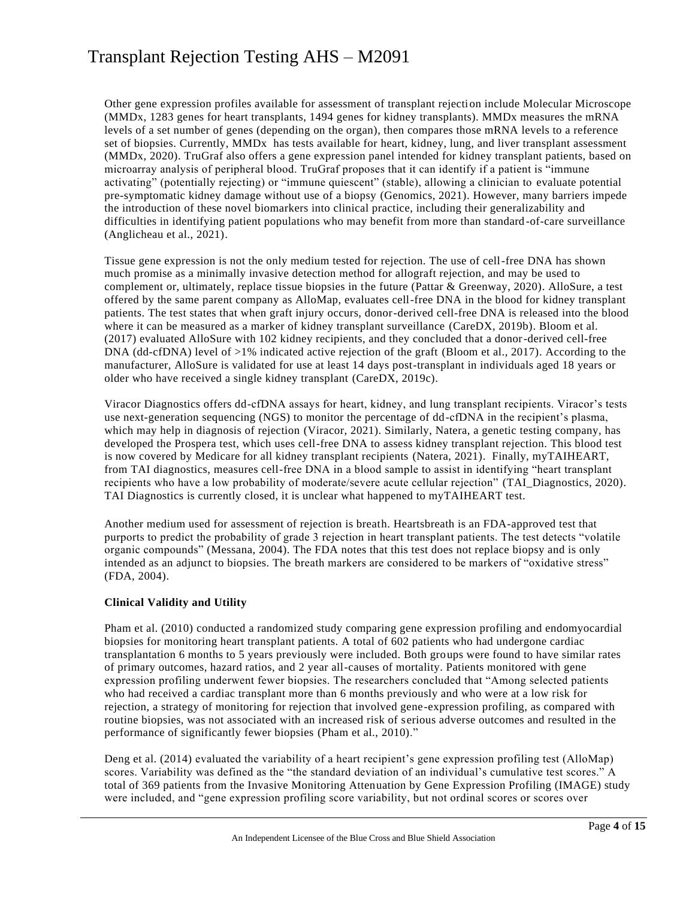Other gene expression profiles available for assessment of transplant rejection include Molecular Microscope (MMDx, 1283 genes for heart transplants, 1494 genes for kidney transplants). MMDx measures the mRNA levels of a set number of genes (depending on the organ), then compares those mRNA levels to a reference set of biopsies. Currently, MMDx has tests available for heart, kidney, lung, and liver transplant assessment (MMDx, 2020). TruGraf also offers a gene expression panel intended for kidney transplant patients, based on microarray analysis of peripheral blood. TruGraf proposes that it can identify if a patient is "immune activating" (potentially rejecting) or "immune quiescent" (stable), allowing a clinician to evaluate potential pre-symptomatic kidney damage without use of a biopsy (Genomics, 2021). However, many barriers impede the introduction of these novel biomarkers into clinical practice, including their generalizability and difficulties in identifying patient populations who may benefit from more than standard -of-care surveillance (Anglicheau et al., 2021).

Tissue gene expression is not the only medium tested for rejection. The use of cell-free DNA has shown much promise as a minimally invasive detection method for allograft rejection, and may be used to complement or, ultimately, replace tissue biopsies in the future (Pattar & Greenway, 2020). AlloSure, a test offered by the same parent company as AlloMap, evaluates cell-free DNA in the blood for kidney transplant patients. The test states that when graft injury occurs, donor-derived cell-free DNA is released into the blood where it can be measured as a marker of kidney transplant surveillance (CareDX, 2019b). Bloom et al. (2017) evaluated AlloSure with 102 kidney recipients, and they concluded that a donor-derived cell-free DNA (dd-cfDNA) level of >1% indicated active rejection of the graft (Bloom et al., 2017). According to the manufacturer, AlloSure is validated for use at least 14 days post-transplant in individuals aged 18 years or older who have received a single kidney transplant (CareDX, 2019c).

Viracor Diagnostics offers dd-cfDNA assays for heart, kidney, and lung transplant recipients. Viracor's tests use next-generation sequencing (NGS) to monitor the percentage of dd-cfDNA in the recipient's plasma, which may help in diagnosis of rejection (Viracor, 2021). Similarly, Natera, a genetic testing company, has developed the Prospera test, which uses cell-free DNA to assess kidney transplant rejection. This blood test is now covered by Medicare for all kidney transplant recipients (Natera, 2021). Finally, myTAIHEART, from TAI diagnostics, measures cell-free DNA in a blood sample to assist in identifying "heart transplant recipients who have a low probability of moderate/severe acute cellular rejection" (TAI\_Diagnostics, 2020). TAI Diagnostics is currently closed, it is unclear what happened to myTAIHEART test.

Another medium used for assessment of rejection is breath. Heartsbreath is an FDA-approved test that purports to predict the probability of grade 3 rejection in heart transplant patients. The test detects "volatile organic compounds" (Messana, 2004). The FDA notes that this test does not replace biopsy and is only intended as an adjunct to biopsies. The breath markers are considered to be markers of "oxidative stress" (FDA, 2004).

#### **Clinical Validity and Utility**

Pham et al. (2010) conducted a randomized study comparing gene expression profiling and endomyocardial biopsies for monitoring heart transplant patients. A total of 602 patients who had undergone cardiac transplantation 6 months to 5 years previously were included. Both groups were found to have similar rates of primary outcomes, hazard ratios, and 2 year all-causes of mortality. Patients monitored with gene expression profiling underwent fewer biopsies. The researchers concluded that "Among selected patients who had received a cardiac transplant more than 6 months previously and who were at a low risk for rejection, a strategy of monitoring for rejection that involved gene-expression profiling, as compared with routine biopsies, was not associated with an increased risk of serious adverse outcomes and resulted in the performance of significantly fewer biopsies (Pham et al., 2010)."

Deng et al. (2014) evaluated the variability of a heart recipient's gene expression profiling test (AlloMap) scores. Variability was defined as the "the standard deviation of an individual's cumulative test scores." A total of 369 patients from the Invasive Monitoring Attenuation by Gene Expression Profiling (IMAGE) study were included, and "gene expression profiling score variability, but not ordinal scores or scores over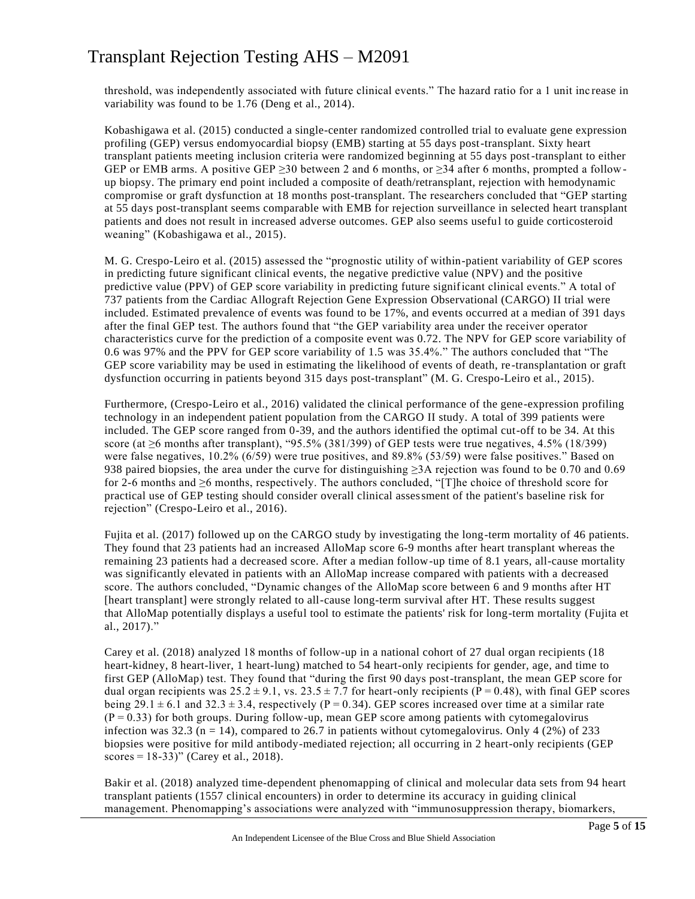threshold, was independently associated with future clinical events." The hazard ratio for a 1 unit inc rease in variability was found to be 1.76 (Deng et al., 2014).

Kobashigawa et al. (2015) conducted a single-center randomized controlled trial to evaluate gene expression profiling (GEP) versus endomyocardial biopsy (EMB) starting at 55 days post-transplant. Sixty heart transplant patients meeting inclusion criteria were randomized beginning at 55 days post-transplant to either GEP or EMB arms. A positive GEP  $\geq$ 30 between 2 and 6 months, or  $\geq$ 34 after 6 months, prompted a followup biopsy. The primary end point included a composite of death/retransplant, rejection with hemodynamic compromise or graft dysfunction at 18 months post-transplant. The researchers concluded that "GEP starting at 55 days post-transplant seems comparable with EMB for rejection surveillance in selected heart transplant patients and does not result in increased adverse outcomes. GEP also seems useful to guide corticosteroid weaning" (Kobashigawa et al., 2015).

M. G. Crespo-Leiro et al. (2015) assessed the "prognostic utility of within-patient variability of GEP scores in predicting future significant clinical events, the negative predictive value (NPV) and the positive predictive value (PPV) of GEP score variability in predicting future significant clinical events." A total of 737 patients from the Cardiac Allograft Rejection Gene Expression Observational (CARGO) II trial were included. Estimated prevalence of events was found to be 17%, and events occurred at a median of 391 days after the final GEP test. The authors found that "the GEP variability area under the receiver operator characteristics curve for the prediction of a composite event was 0.72. The NPV for GEP score variability of 0.6 was 97% and the PPV for GEP score variability of 1.5 was 35.4%." The authors concluded that "The GEP score variability may be used in estimating the likelihood of events of death, re -transplantation or graft dysfunction occurring in patients beyond 315 days post-transplant" (M. G. Crespo-Leiro et al., 2015).

Furthermore, (Crespo-Leiro et al., 2016) validated the clinical performance of the gene-expression profiling technology in an independent patient population from the CARGO II study. A total of 399 patients were included. The GEP score ranged from 0-39, and the authors identified the optimal cut-off to be 34. At this score (at ≥6 months after transplant), "95.5% (381/399) of GEP tests were true negatives, 4.5% (18/399) were false negatives, 10.2% (6/59) were true positives, and 89.8% (53/59) were false positives." Based on 938 paired biopsies, the area under the curve for distinguishing ≥3A rejection was found to be 0.70 and 0.69 for 2-6 months and ≥6 months, respectively. The authors concluded, "[T]he choice of threshold score for practical use of GEP testing should consider overall clinical assessment of the patient's baseline risk for rejection" (Crespo-Leiro et al., 2016).

Fujita et al. (2017) followed up on the CARGO study by investigating the long-term mortality of 46 patients. They found that 23 patients had an increased AlloMap score 6-9 months after heart transplant whereas the remaining 23 patients had a decreased score. After a median follow-up time of 8.1 years, all-cause mortality was significantly elevated in patients with an AlloMap increase compared with patients with a decreased score. The authors concluded, "Dynamic changes of the AlloMap score between 6 and 9 months after HT [heart transplant] were strongly related to all-cause long-term survival after HT. These results suggest that AlloMap potentially displays a useful tool to estimate the patients' risk for long-term mortality (Fujita et al., 2017)."

Carey et al. (2018) analyzed 18 months of follow-up in a national cohort of 27 dual organ recipients (18 heart-kidney, 8 heart-liver, 1 heart-lung) matched to 54 heart-only recipients for gender, age, and time to first GEP (AlloMap) test. They found that "during the first 90 days post-transplant, the mean GEP score for dual organ recipients was  $25.2 \pm 9.1$ , vs.  $23.5 \pm 7.7$  for heart-only recipients (P = 0.48), with final GEP scores being 29.1  $\pm$  6.1 and 32.3  $\pm$  3.4, respectively (P = 0.34). GEP scores increased over time at a similar rate  $(P = 0.33)$  for both groups. During follow-up, mean GEP score among patients with cytomegalovirus infection was 32.3 (n = 14), compared to 26.7 in patients without cytomegalovirus. Only 4 (2%) of 233 biopsies were positive for mild antibody-mediated rejection; all occurring in 2 heart-only recipients (GEP scores =  $18-33$ )" (Carey et al., 2018).

Bakir et al. (2018) analyzed time-dependent phenomapping of clinical and molecular data sets from 94 heart transplant patients (1557 clinical encounters) in order to determine its accuracy in guiding clinical management. Phenomapping's associations were analyzed with "immunosuppression therapy, biomarkers,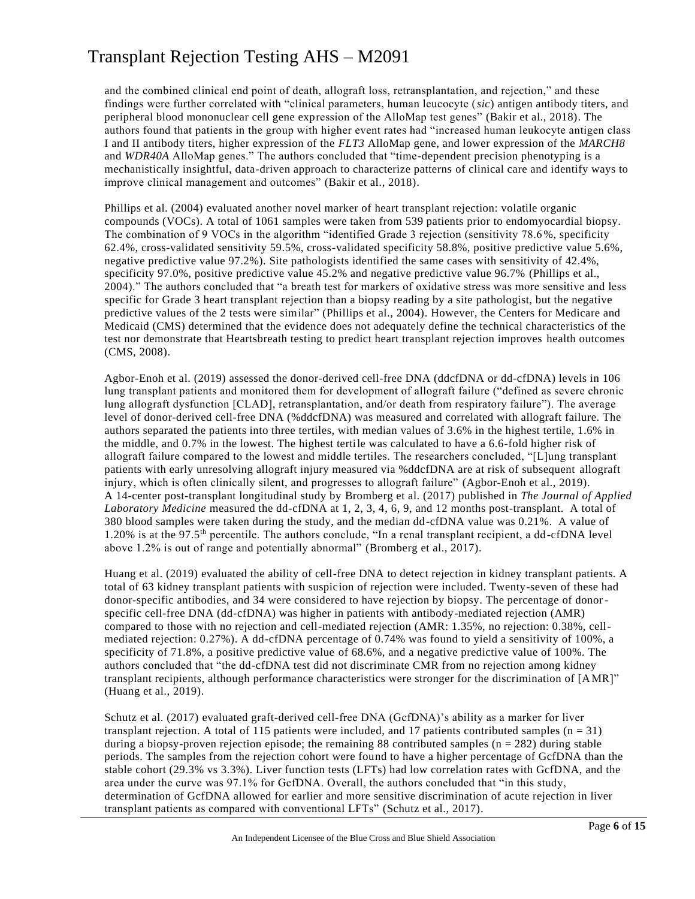and the combined clinical end point of death, allograft loss, retransplantation, and rejection," and these findings were further correlated with "clinical parameters, human leucocyte (*sic*) antigen antibody titers, and peripheral blood mononuclear cell gene expression of the AlloMap test genes" (Bakir et al., 2018). The authors found that patients in the group with higher event rates had "increased human leukocyte antigen class I and II antibody titers, higher expression of the *FLT3* AlloMap gene, and lower expression of the *MARCH8* and *WDR40A* AlloMap genes." The authors concluded that "time-dependent precision phenotyping is a mechanistically insightful, data-driven approach to characterize patterns of clinical care and identify ways to improve clinical management and outcomes" (Bakir et al., 2018).

Phillips et al. (2004) evaluated another novel marker of heart transplant rejection: volatile organic compounds (VOCs). A total of 1061 samples were taken from 539 patients prior to endomyocardial biopsy. The combination of 9 VOCs in the algorithm "identified Grade 3 rejection (sensitivity 78.6%, specificity 62.4%, cross-validated sensitivity 59.5%, cross-validated specificity 58.8%, positive predictive value 5.6%, negative predictive value 97.2%). Site pathologists identified the same cases with sensitivity of 42.4%, specificity 97.0%, positive predictive value 45.2% and negative predictive value 96.7% (Phillips et al., 2004)." The authors concluded that "a breath test for markers of oxidative stress was more sensitive and less specific for Grade 3 heart transplant rejection than a biopsy reading by a site pathologist, but the negative predictive values of the 2 tests were similar" (Phillips et al., 2004). However, the Centers for Medicare and Medicaid (CMS) determined that the evidence does not adequately define the technical characteristics of the test nor demonstrate that Heartsbreath testing to predict heart transplant rejection improves health outcomes (CMS, 2008).

Agbor-Enoh et al. (2019) assessed the donor-derived cell-free DNA (ddcfDNA or dd-cfDNA) levels in 106 lung transplant patients and monitored them for development of allograft failure ("defined as severe chronic lung allograft dysfunction [CLAD], retransplantation, and/or death from respiratory failure"). The average level of donor-derived cell-free DNA (%ddcfDNA) was measured and correlated with allograft failure. The authors separated the patients into three tertiles, with median values of 3.6% in the highest tertile, 1.6% in the middle, and 0.7% in the lowest. The highest tertile was calculated to have a 6.6-fold higher risk of allograft failure compared to the lowest and middle tertiles. The researchers concluded, "[L]ung transplant patients with early unresolving allograft injury measured via %ddcfDNA are at risk of subsequent allograft injury, which is often clinically silent, and progresses to allograft failure" (Agbor-Enoh et al., 2019). A 14-center post-transplant longitudinal study by Bromberg et al. (2017) published in *The Journal of Applied Laboratory Medicine* measured the dd-cfDNA at 1, 2, 3, 4, 6, 9, and 12 months post-transplant. A total of 380 blood samples were taken during the study, and the median dd-cfDNA value was 0.21%. A value of 1.20% is at the 97.5th percentile. The authors conclude, "In a renal transplant recipient, a dd-cfDNA level above 1.2% is out of range and potentially abnormal" (Bromberg et al., 2017).

Huang et al. (2019) evaluated the ability of cell-free DNA to detect rejection in kidney transplant patients. A total of 63 kidney transplant patients with suspicion of rejection were included. Twenty-seven of these had donor-specific antibodies, and 34 were considered to have rejection by biopsy. The percentage of donorspecific cell-free DNA (dd-cfDNA) was higher in patients with antibody-mediated rejection (AMR) compared to those with no rejection and cell-mediated rejection (AMR: 1.35%, no rejection: 0.38%, cellmediated rejection: 0.27%). A dd-cfDNA percentage of 0.74% was found to yield a sensitivity of 100%, a specificity of 71.8%, a positive predictive value of 68.6%, and a negative predictive value of 100%. The authors concluded that "the dd-cfDNA test did not discriminate CMR from no rejection among kidney transplant recipients, although performance characteristics were stronger for the discrimination of [AMR]" (Huang et al., 2019).

Schutz et al. (2017) evaluated graft-derived cell-free DNA (GcfDNA)'s ability as a marker for liver transplant rejection. A total of 115 patients were included, and 17 patients contributed samples  $(n = 31)$ during a biopsy-proven rejection episode; the remaining  $88$  contributed samples ( $n = 282$ ) during stable periods. The samples from the rejection cohort were found to have a higher percentage of GcfDNA than the stable cohort (29.3% vs 3.3%). Liver function tests (LFTs) had low correlation rates with GcfDNA, and the area under the curve was 97.1% for GcfDNA. Overall, the authors concluded that "in this study, determination of GcfDNA allowed for earlier and more sensitive discrimination of acute rejection in liver transplant patients as compared with conventional LFTs" (Schutz et al., 2017).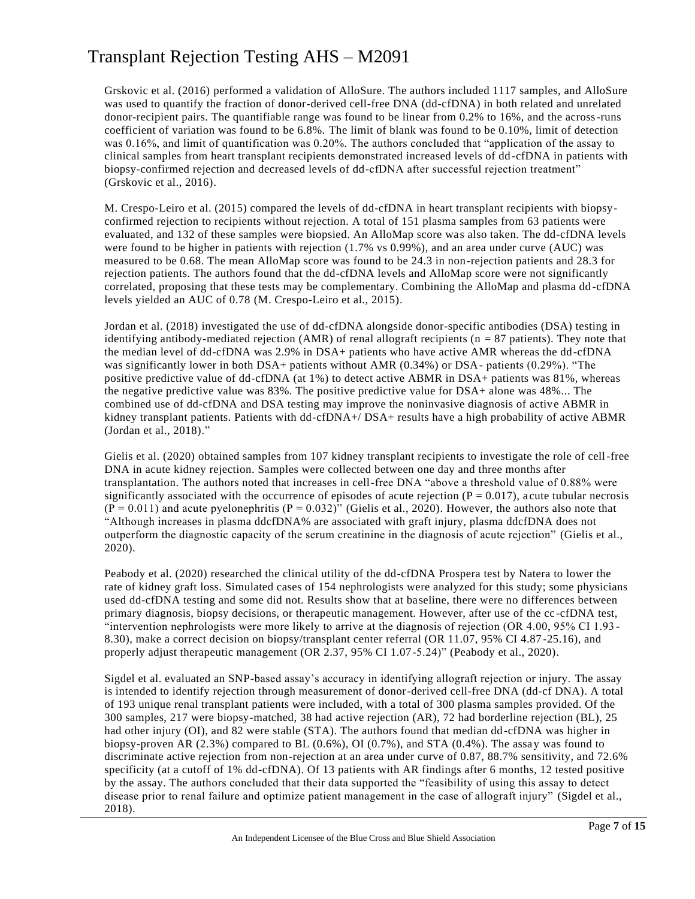Grskovic et al. (2016) performed a validation of AlloSure. The authors included 1117 samples, and AlloSure was used to quantify the fraction of donor-derived cell-free DNA (dd-cfDNA) in both related and unrelated donor-recipient pairs. The quantifiable range was found to be linear from 0.2% to 16%, and the across-runs coefficient of variation was found to be 6.8%. The limit of blank was found to be 0.10%, limit of detection was 0.16%, and limit of quantification was 0.20%. The authors concluded that "application of the assay to clinical samples from heart transplant recipients demonstrated increased levels of dd-cfDNA in patients with biopsy-confirmed rejection and decreased levels of dd-cfDNA after successful rejection treatment" (Grskovic et al., 2016).

M. Crespo-Leiro et al. (2015) compared the levels of dd-cfDNA in heart transplant recipients with biopsyconfirmed rejection to recipients without rejection. A total of 151 plasma samples from 63 patients were evaluated, and 132 of these samples were biopsied. An AlloMap score was also taken. The dd-cfDNA levels were found to be higher in patients with rejection (1.7% vs 0.99%), and an area under curve (AUC) was measured to be 0.68. The mean AlloMap score was found to be 24.3 in non-rejection patients and 28.3 for rejection patients. The authors found that the dd-cfDNA levels and AlloMap score were not significantly correlated, proposing that these tests may be complementary. Combining the AlloMap and plasma dd -cfDNA levels yielded an AUC of 0.78 (M. Crespo-Leiro et al., 2015).

Jordan et al. (2018) investigated the use of dd-cfDNA alongside donor-specific antibodies (DSA) testing in identifying antibody-mediated rejection (AMR) of renal allograft recipients ( $n = 87$  patients). They note that the median level of dd-cfDNA was 2.9% in DSA+ patients who have active AMR whereas the dd-cfDNA was significantly lower in both DSA+ patients without AMR (0.34%) or DSA- patients (0.29%). "The positive predictive value of dd-cfDNA (at 1%) to detect active ABMR in DSA+ patients was 81%, whereas the negative predictive value was 83%. The positive predictive value for DSA+ alone was 48%... The combined use of dd-cfDNA and DSA testing may improve the noninvasive diagnosis of active ABMR in kidney transplant patients. Patients with dd-cfDNA+/ DSA+ results have a high probability of active ABMR (Jordan et al., 2018)."

Gielis et al. (2020) obtained samples from 107 kidney transplant recipients to investigate the role of cell-free DNA in acute kidney rejection. Samples were collected between one day and three months after transplantation. The authors noted that increases in cell-free DNA "above a threshold value of 0.88% were significantly associated with the occurrence of episodes of acute rejection  $(P = 0.017)$ , acute tubular necrosis  $(P = 0.011)$  and acute pyelonephritis  $(P = 0.032)$ " (Gielis et al., 2020). However, the authors also note that "Although increases in plasma ddcfDNA% are associated with graft injury, plasma ddcfDNA does not outperform the diagnostic capacity of the serum creatinine in the diagnosis of acute rejection" (Gielis et al., 2020).

Peabody et al. (2020) researched the clinical utility of the dd-cfDNA Prospera test by Natera to lower the rate of kidney graft loss. Simulated cases of 154 nephrologists were analyzed for this study; some physicians used dd-cfDNA testing and some did not. Results show that at baseline, there were no differences between primary diagnosis, biopsy decisions, or therapeutic management. However, after use of the cc -cfDNA test, "intervention nephrologists were more likely to arrive at the diagnosis of rejection (OR 4.00, 95% CI 1.93 - 8.30), make a correct decision on biopsy/transplant center referral (OR 11.07, 95% CI 4.87 -25.16), and properly adjust therapeutic management (OR 2.37, 95% CI 1.07-5.24)" (Peabody et al., 2020).

Sigdel et al. evaluated an SNP-based assay's accuracy in identifying allograft rejection or injury. The assay is intended to identify rejection through measurement of donor-derived cell-free DNA (dd-cf DNA). A total of 193 unique renal transplant patients were included, with a total of 300 plasma samples provided. Of the 300 samples, 217 were biopsy-matched, 38 had active rejection (AR), 72 had borderline rejection (BL), 25 had other injury (OI), and 82 were stable (STA). The authors found that median dd-cfDNA was higher in biopsy-proven AR (2.3%) compared to BL (0.6%), OI (0.7%), and STA (0.4%). The assay was found to discriminate active rejection from non-rejection at an area under curve of 0.87, 88.7% sensitivity, and 72.6% specificity (at a cutoff of 1% dd-cfDNA). Of 13 patients with AR findings after 6 months, 12 tested positive by the assay. The authors concluded that their data supported the "feasibility of using this assay to detect disease prior to renal failure and optimize patient management in the case of allograft injury" (Sigdel et al., 2018).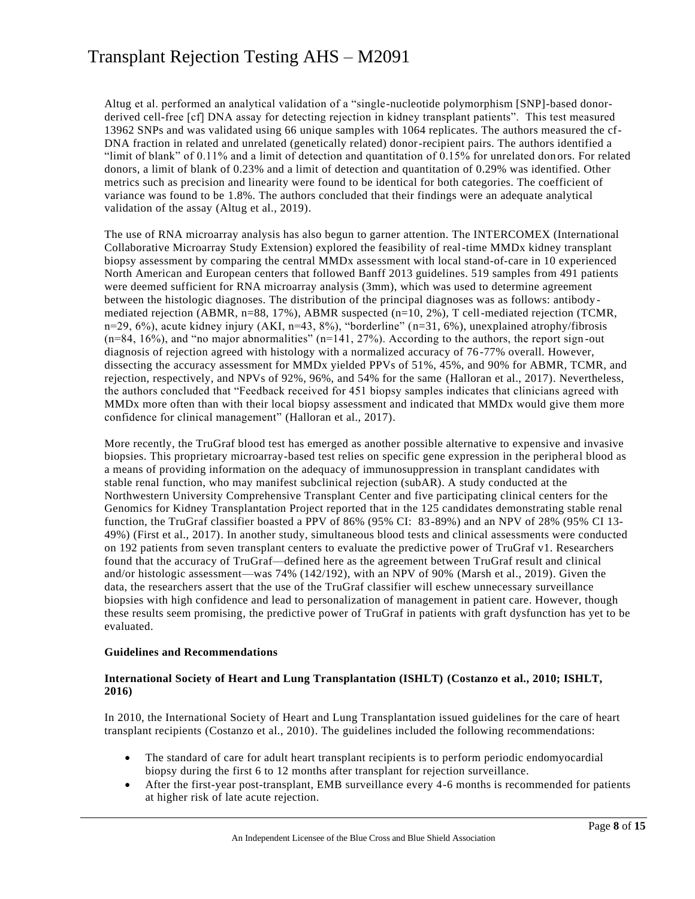Altug et al. performed an analytical validation of a "single-nucleotide polymorphism [SNP]-based donorderived cell-free [cf] DNA assay for detecting rejection in kidney transplant patients". This test measured 13962 SNPs and was validated using 66 unique samples with 1064 replicates. The authors measured the cf-DNA fraction in related and unrelated (genetically related) donor-recipient pairs. The authors identified a "limit of blank" of 0.11% and a limit of detection and quantitation of 0.15% for unrelated don ors. For related donors, a limit of blank of 0.23% and a limit of detection and quantitation of 0.29% was identified. Other metrics such as precision and linearity were found to be identical for both categories. The coefficient of variance was found to be 1.8%. The authors concluded that their findings were an adequate analytical validation of the assay (Altug et al., 2019).

The use of RNA microarray analysis has also begun to garner attention. The INTERCOMEX (International Collaborative Microarray Study Extension) explored the feasibility of real-time MMDx kidney transplant biopsy assessment by comparing the central MMDx assessment with local stand-of-care in 10 experienced North American and European centers that followed Banff 2013 guidelines. 519 samples from 491 patients were deemed sufficient for RNA microarray analysis (3mm), which was used to determine agreement between the histologic diagnoses. The distribution of the principal diagnoses was as follows: antibody mediated rejection (ABMR, n=88, 17%), ABMR suspected (n=10, 2%), T cell-mediated rejection (TCMR, n=29, 6%), acute kidney injury (AKI, n=43, 8%), "borderline" (n=31, 6%), unexplained atrophy/fibrosis  $(n=84, 16%)$ , and "no major abnormalities"  $(n=141, 27%)$ . According to the authors, the report sign-out diagnosis of rejection agreed with histology with a normalized accuracy of 76-77% overall. However, dissecting the accuracy assessment for MMDx yielded PPVs of 51%, 45%, and 90% for ABMR, TCMR, and rejection, respectively, and NPVs of 92%, 96%, and 54% for the same (Halloran et al., 2017). Nevertheless, the authors concluded that "Feedback received for 451 biopsy samples indicates that clinicians agreed with MMDx more often than with their local biopsy assessment and indicated that MMDx would give them more confidence for clinical management" (Halloran et al., 2017).

More recently, the TruGraf blood test has emerged as another possible alternative to expensive and invasive biopsies. This proprietary microarray-based test relies on specific gene expression in the peripheral blood as a means of providing information on the adequacy of immunosuppression in transplant candidates with stable renal function, who may manifest subclinical rejection (subAR). A study conducted at the Northwestern University Comprehensive Transplant Center and five participating clinical centers for the Genomics for Kidney Transplantation Project reported that in the 125 candidates demonstrating stable renal function, the TruGraf classifier boasted a PPV of 86% (95% CI: 83-89%) and an NPV of 28% (95% CI 13- 49%) (First et al., 2017). In another study, simultaneous blood tests and clinical assessments were conducted on 192 patients from seven transplant centers to evaluate the predictive power of TruGraf v1. Researchers found that the accuracy of TruGraf—defined here as the agreement between TruGraf result and clinical and/or histologic assessment—was 74% (142/192), with an NPV of 90% (Marsh et al., 2019). Given the data, the researchers assert that the use of the TruGraf classifier will eschew unnecessary surveillance biopsies with high confidence and lead to personalization of management in patient care. However, though these results seem promising, the predictive power of TruGraf in patients with graft dysfunction has yet to be evaluated.

#### **Guidelines and Recommendations**

#### **International Society of Heart and Lung Transplantation (ISHLT) (Costanzo et al., 2010; ISHLT, 2016)**

In 2010, the International Society of Heart and Lung Transplantation issued guidelines for the care of heart transplant recipients (Costanzo et al., 2010). The guidelines included the following recommendations:

- The standard of care for adult heart transplant recipients is to perform periodic endomyocardial biopsy during the first 6 to 12 months after transplant for rejection surveillance.
- After the first-year post-transplant, EMB surveillance every 4-6 months is recommended for patients at higher risk of late acute rejection.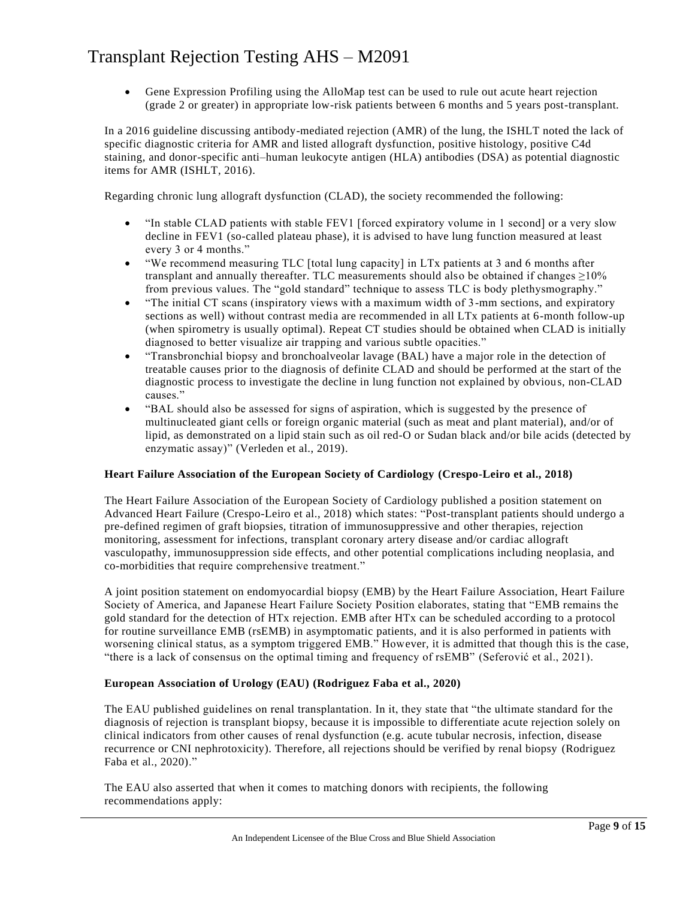• Gene Expression Profiling using the AlloMap test can be used to rule out acute heart rejection (grade 2 or greater) in appropriate low-risk patients between 6 months and 5 years post-transplant.

In a 2016 guideline discussing antibody-mediated rejection (AMR) of the lung, the ISHLT noted the lack of specific diagnostic criteria for AMR and listed allograft dysfunction, positive histology, positive C4d staining, and donor-specific anti–human leukocyte antigen (HLA) antibodies (DSA) as potential diagnostic items for AMR (ISHLT, 2016).

Regarding chronic lung allograft dysfunction (CLAD), the society recommended the following:

- "In stable CLAD patients with stable FEV1 [forced expiratory volume in 1 second] or a very slow decline in FEV1 (so-called plateau phase), it is advised to have lung function measured at least every 3 or 4 months."
- "We recommend measuring TLC [total lung capacity] in LTx patients at 3 and 6 months after transplant and annually thereafter. TLC measurements should also be obtained if changes  $\geq$ 10% from previous values. The "gold standard" technique to assess TLC is body plethysmography."
- "The initial CT scans (inspiratory views with a maximum width of 3-mm sections, and expiratory sections as well) without contrast media are recommended in all LTx patients at 6-month follow-up (when spirometry is usually optimal). Repeat CT studies should be obtained when CLAD is initially diagnosed to better visualize air trapping and various subtle opacities."
- "Transbronchial biopsy and bronchoalveolar lavage (BAL) have a major role in the detection of treatable causes prior to the diagnosis of definite CLAD and should be performed at the start of the diagnostic process to investigate the decline in lung function not explained by obvious, non-CLAD causes."
- "BAL should also be assessed for signs of aspiration, which is suggested by the presence of multinucleated giant cells or foreign organic material (such as meat and plant material), and/or of lipid, as demonstrated on a lipid stain such as oil red-O or Sudan black and/or bile acids (detected by enzymatic assay)" (Verleden et al., 2019).

#### **Heart Failure Association of the European Society of Cardiology (Crespo-Leiro et al., 2018)**

The Heart Failure Association of the European Society of Cardiology published a position statement on Advanced Heart Failure (Crespo-Leiro et al., 2018) which states: "Post-transplant patients should undergo a pre-defined regimen of graft biopsies, titration of immunosuppressive and other therapies, rejection monitoring, assessment for infections, transplant coronary artery disease and/or cardiac allograft vasculopathy, immunosuppression side effects, and other potential complications including neoplasia, and co-morbidities that require comprehensive treatment."

A joint position statement on endomyocardial biopsy (EMB) by the Heart Failure Association, Heart Failure Society of America, and Japanese Heart Failure Society Position elaborates, stating that "EMB remains the gold standard for the detection of HTx rejection. EMB after HTx can be scheduled according to a protocol for routine surveillance EMB (rsEMB) in asymptomatic patients, and it is also performed in patients with worsening clinical status, as a symptom triggered EMB." However, it is admitted that though this is the case, "there is a lack of consensus on the optimal timing and frequency of rsEMB" (Seferović et al., 2021).

#### **European Association of Urology (EAU) (Rodriguez Faba et al., 2020)**

The EAU published guidelines on renal transplantation. In it, they state that "the ultimate standard for the diagnosis of rejection is transplant biopsy, because it is impossible to differentiate acute rejection solely on clinical indicators from other causes of renal dysfunction (e.g. acute tubular necrosis, infection, disease recurrence or CNI nephrotoxicity). Therefore, all rejections should be verified by renal biopsy (Rodriguez Faba et al., 2020)."

The EAU also asserted that when it comes to matching donors with recipients, the following recommendations apply: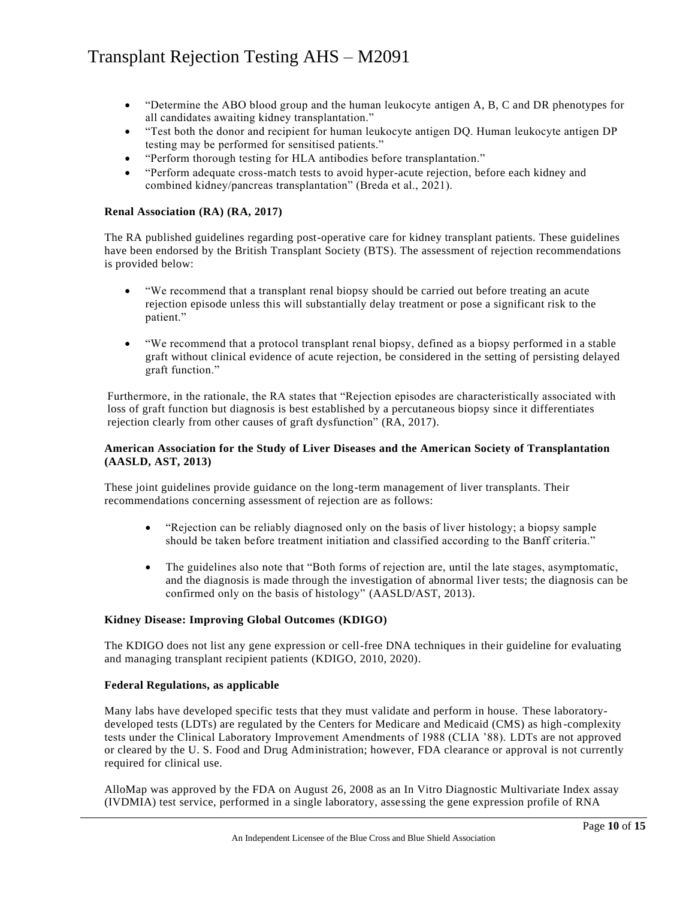- "Determine the ABO blood group and the human leukocyte antigen A, B, C and DR phenotypes for all candidates awaiting kidney transplantation."
- "Test both the donor and recipient for human leukocyte antigen DQ. Human leukocyte antigen DP testing may be performed for sensitised patients."
- "Perform thorough testing for HLA antibodies before transplantation."
- "Perform adequate cross-match tests to avoid hyper-acute rejection, before each kidney and combined kidney/pancreas transplantation" (Breda et al., 2021).

#### **Renal Association (RA) (RA, 2017)**

The RA published guidelines regarding post-operative care for kidney transplant patients. These guidelines have been endorsed by the British Transplant Society (BTS). The assessment of rejection recommendations is provided below:

- "We recommend that a transplant renal biopsy should be carried out before treating an acute rejection episode unless this will substantially delay treatment or pose a significant risk to the patient."
- "We recommend that a protocol transplant renal biopsy, defined as a biopsy performed in a stable graft without clinical evidence of acute rejection, be considered in the setting of persisting delayed graft function."

Furthermore, in the rationale, the RA states that "Rejection episodes are characteristically associated with loss of graft function but diagnosis is best established by a percutaneous biopsy since it differentiates rejection clearly from other causes of graft dysfunction" (RA, 2017).

#### **American Association for the Study of Liver Diseases and the American Society of Transplantation (AASLD, AST, 2013)**

These joint guidelines provide guidance on the long-term management of liver transplants. Their recommendations concerning assessment of rejection are as follows:

- "Rejection can be reliably diagnosed only on the basis of liver histology; a biopsy sample should be taken before treatment initiation and classified according to the Banff criteria."
- The guidelines also note that "Both forms of rejection are, until the late stages, asymptomatic, and the diagnosis is made through the investigation of abnormal liver tests; the diagnosis can be confirmed only on the basis of histology" (AASLD/AST, 2013).

#### **Kidney Disease: Improving Global Outcomes (KDIGO)**

The KDIGO does not list any gene expression or cell-free DNA techniques in their guideline for evaluating and managing transplant recipient patients (KDIGO, 2010, 2020).

#### **Federal Regulations, as applicable**

Many labs have developed specific tests that they must validate and perform in house. These laboratorydeveloped tests (LDTs) are regulated by the Centers for Medicare and Medicaid (CMS) as high -complexity tests under the Clinical Laboratory Improvement Amendments of 1988 (CLIA '88). LDTs are not approved or cleared by the U. S. Food and Drug Administration; however, FDA clearance or approval is not currently required for clinical use.

AlloMap was approved by the FDA on August 26, 2008 as an In Vitro Diagnostic Multivariate Index assay (IVDMIA) test service, performed in a single laboratory, assessing the gene expression profile of RNA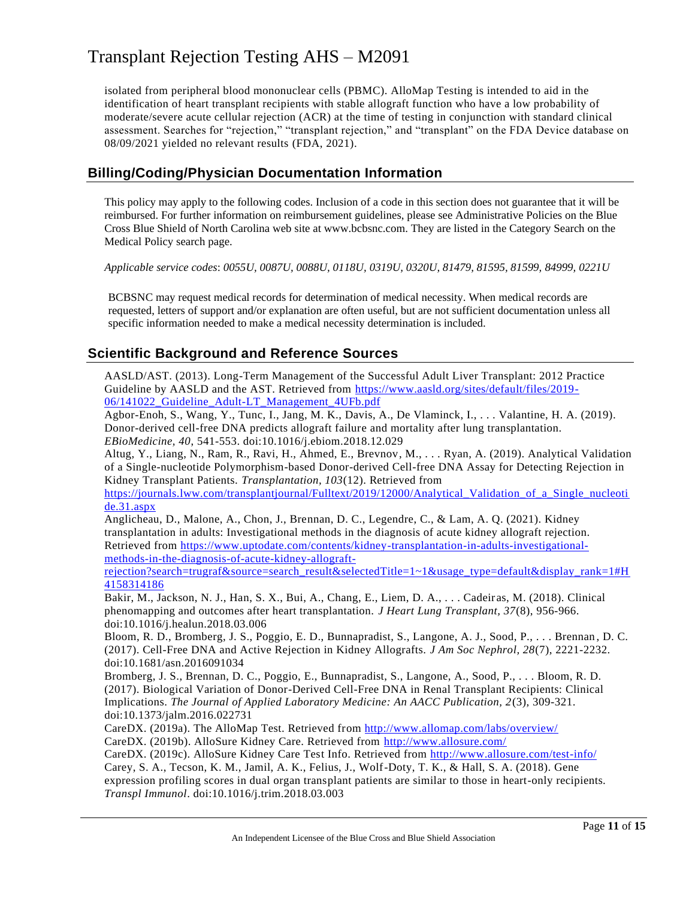isolated from peripheral blood mononuclear cells (PBMC). AlloMap Testing is intended to aid in the identification of heart transplant recipients with stable allograft function who have a low probability of moderate/severe acute cellular rejection (ACR) at the time of testing in conjunction with standard clinical assessment. Searches for "rejection," "transplant rejection," and "transplant" on the FDA Device database on 08/09/2021 yielded no relevant results (FDA, 2021).

### **Billing/Coding/Physician Documentation Information**

This policy may apply to the following codes. Inclusion of a code in this section does not guarantee that it will be reimbursed. For further information on reimbursement guidelines, please see Administrative Policies on the Blue Cross Blue Shield of North Carolina web site at www.bcbsnc.com. They are listed in the Category Search on the Medical Policy search page.

*Applicable service codes*: *0055U, 0087U, 0088U, 0118U, 0319U, 0320U, 81479, 81595, 81599, 84999, 0221U*

BCBSNC may request medical records for determination of medical necessity. When medical records are requested, letters of support and/or explanation are often useful, but are not sufficient documentation unless all specific information needed to make a medical necessity determination is included.

### **Scientific Background and Reference Sources**

AASLD/AST. (2013). Long-Term Management of the Successful Adult Liver Transplant: 2012 Practice Guideline by AASLD and the AST. Retrieved from [https://www.aasld.org/sites/default/files/2019-](https://www.aasld.org/sites/default/files/2019-06/141022_Guideline_Adult-LT_Management_4UFb.pdf) [06/141022\\_Guideline\\_Adult-LT\\_Management\\_4UFb.pdf](https://www.aasld.org/sites/default/files/2019-06/141022_Guideline_Adult-LT_Management_4UFb.pdf)

Agbor-Enoh, S., Wang, Y., Tunc, I., Jang, M. K., Davis, A., De Vlaminck, I., . . . Valantine, H. A. (2019). Donor-derived cell-free DNA predicts allograft failure and mortality after lung transplantation. *EBioMedicine, 40*, 541-553. doi:10.1016/j.ebiom.2018.12.029

Altug, Y., Liang, N., Ram, R., Ravi, H., Ahmed, E., Brevnov, M., . . . Ryan, A. (2019). Analytical Validation of a Single-nucleotide Polymorphism-based Donor-derived Cell-free DNA Assay for Detecting Rejection in Kidney Transplant Patients. *Transplantation, 103*(12). Retrieved from

https://journals.lww.com/transplantjournal/Fulltext/2019/12000/Analytical Validation of a Single nucleoti [de.31.aspx](https://journals.lww.com/transplantjournal/Fulltext/2019/12000/Analytical_Validation_of_a_Single_nucleotide.31.aspx)

Anglicheau, D., Malone, A., Chon, J., Brennan, D. C., Legendre, C., & Lam, A. Q. (2021). Kidney transplantation in adults: Investigational methods in the diagnosis of acute kidney allograft rejection. Retrieved from [https://www.uptodate.com/contents/kidney-transplantation-in-adults-investigational](https://www.uptodate.com/contents/kidney-transplantation-in-adults-investigational-methods-in-the-diagnosis-of-acute-kidney-allograft-rejection?search=trugraf&source=search_result&selectedTitle=1~1&usage_type=default&display_rank=1#H4158314186)[methods-in-the-diagnosis-of-acute-kidney-allograft-](https://www.uptodate.com/contents/kidney-transplantation-in-adults-investigational-methods-in-the-diagnosis-of-acute-kidney-allograft-rejection?search=trugraf&source=search_result&selectedTitle=1~1&usage_type=default&display_rank=1#H4158314186)

[rejection?search=trugraf&source=search\\_result&selectedTitle=1~1&usage\\_type=default&display\\_rank=1#H](https://www.uptodate.com/contents/kidney-transplantation-in-adults-investigational-methods-in-the-diagnosis-of-acute-kidney-allograft-rejection?search=trugraf&source=search_result&selectedTitle=1~1&usage_type=default&display_rank=1#H4158314186) [4158314186](https://www.uptodate.com/contents/kidney-transplantation-in-adults-investigational-methods-in-the-diagnosis-of-acute-kidney-allograft-rejection?search=trugraf&source=search_result&selectedTitle=1~1&usage_type=default&display_rank=1#H4158314186)

Bakir, M., Jackson, N. J., Han, S. X., Bui, A., Chang, E., Liem, D. A., . . . Cadeir as, M. (2018). Clinical phenomapping and outcomes after heart transplantation. *J Heart Lung Transplant, 37*(8), 956-966. doi:10.1016/j.healun.2018.03.006

Bloom, R. D., Bromberg, J. S., Poggio, E. D., Bunnapradist, S., Langone, A. J., Sood, P., . . . Brennan , D. C. (2017). Cell-Free DNA and Active Rejection in Kidney Allografts. *J Am Soc Nephrol, 28*(7), 2221-2232. doi:10.1681/asn.2016091034

Bromberg, J. S., Brennan, D. C., Poggio, E., Bunnapradist, S., Langone, A., Sood, P., . . . Bloom, R. D. (2017). Biological Variation of Donor-Derived Cell-Free DNA in Renal Transplant Recipients: Clinical Implications. *The Journal of Applied Laboratory Medicine: An AACC Publication, 2*(3), 309-321. doi:10.1373/jalm.2016.022731

CareDX. (2019a). The AlloMap Test. Retrieved from<http://www.allomap.com/labs/overview/> CareDX. (2019b). AlloSure Kidney Care. Retrieved from<http://www.allosure.com/>

CareDX. (2019c). AlloSure Kidney Care Test Info. Retrieved from<http://www.allosure.com/test-info/>

Carey, S. A., Tecson, K. M., Jamil, A. K., Felius, J., Wolf-Doty, T. K., & Hall, S. A. (2018). Gene

expression profiling scores in dual organ transplant patients are similar to those in heart-only recipients. *Transpl Immunol*. doi:10.1016/j.trim.2018.03.003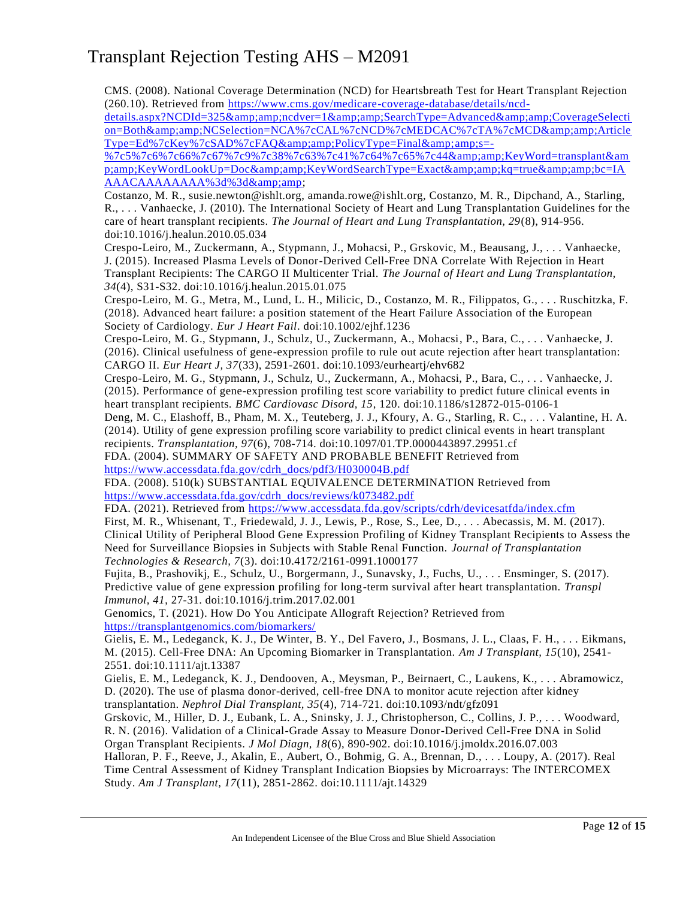CMS. (2008). National Coverage Determination (NCD) for Heartsbreath Test for Heart Transplant Rejection (260.10). Retrieved from [https://www.cms.gov/medicare-coverage-database/details/ncd-](https://www.cms.gov/medicare-coverage-database/details/ncd-details.aspx?NCDId=325&amp;ncdver=1&amp;SearchType=Advanced&amp;CoverageSelection=Both&amp;NCSelection=NCA%7cCAL%7cNCD%7cMEDCAC%7cTA%7cMCD&amp;ArticleType=Ed%7cKey%7cSAD%7cFAQ&amp;PolicyType=Final&amp;s=-%7c5%7c6%7c66%7c67%7c9%7c38%7c63%7c41%7c64%7c65%7c44&amp;KeyWord=transplant&amp;KeyWordLookUp=Doc&amp;KeyWordSearchType=Exact&amp;kq=true&amp;bc=IAAAACAAAAAAAA%3d%3d&amp)

details.aspx?NCDId=325&amp:amp:ncdver=1&amp:amp:SearchType=Advanced&amp:amp:CoverageSelecti [on=Both&NCSelection=NCA%7cCAL%7cNCD%7cMEDCAC%7cTA%7cMCD&Article](https://www.cms.gov/medicare-coverage-database/details/ncd-details.aspx?NCDId=325&amp;ncdver=1&amp;SearchType=Advanced&amp;CoverageSelection=Both&amp;NCSelection=NCA%7cCAL%7cNCD%7cMEDCAC%7cTA%7cMCD&amp;ArticleType=Ed%7cKey%7cSAD%7cFAQ&amp;PolicyType=Final&amp;s=-%7c5%7c6%7c66%7c67%7c9%7c38%7c63%7c41%7c64%7c65%7c44&amp;KeyWord=transplant&amp;KeyWordLookUp=Doc&amp;KeyWordSearchType=Exact&amp;kq=true&amp;bc=IAAAACAAAAAAAA%3d%3d&amp) [Type=Ed%7cKey%7cSAD%7cFAQ&PolicyType=Final&s=-](https://www.cms.gov/medicare-coverage-database/details/ncd-details.aspx?NCDId=325&amp;ncdver=1&amp;SearchType=Advanced&amp;CoverageSelection=Both&amp;NCSelection=NCA%7cCAL%7cNCD%7cMEDCAC%7cTA%7cMCD&amp;ArticleType=Ed%7cKey%7cSAD%7cFAQ&amp;PolicyType=Final&amp;s=-%7c5%7c6%7c66%7c67%7c9%7c38%7c63%7c41%7c64%7c65%7c44&amp;KeyWord=transplant&amp;KeyWordLookUp=Doc&amp;KeyWordSearchType=Exact&amp;kq=true&amp;bc=IAAAACAAAAAAAA%3d%3d&amp)

[%7c5%7c6%7c66%7c67%7c9%7c38%7c63%7c41%7c64%7c65%7c44&KeyWord=transplant&am](https://www.cms.gov/medicare-coverage-database/details/ncd-details.aspx?NCDId=325&amp;ncdver=1&amp;SearchType=Advanced&amp;CoverageSelection=Both&amp;NCSelection=NCA%7cCAL%7cNCD%7cMEDCAC%7cTA%7cMCD&amp;ArticleType=Ed%7cKey%7cSAD%7cFAQ&amp;PolicyType=Final&amp;s=-%7c5%7c6%7c66%7c67%7c9%7c38%7c63%7c41%7c64%7c65%7c44&amp;KeyWord=transplant&amp;KeyWordLookUp=Doc&amp;KeyWordSearchType=Exact&amp;kq=true&amp;bc=IAAAACAAAAAAAA%3d%3d&amp) [p;amp;KeyWordLookUp=Doc&KeyWordSearchType=Exact&kq=true&bc=IA](https://www.cms.gov/medicare-coverage-database/details/ncd-details.aspx?NCDId=325&amp;ncdver=1&amp;SearchType=Advanced&amp;CoverageSelection=Both&amp;NCSelection=NCA%7cCAL%7cNCD%7cMEDCAC%7cTA%7cMCD&amp;ArticleType=Ed%7cKey%7cSAD%7cFAQ&amp;PolicyType=Final&amp;s=-%7c5%7c6%7c66%7c67%7c9%7c38%7c63%7c41%7c64%7c65%7c44&amp;KeyWord=transplant&amp;KeyWordLookUp=Doc&amp;KeyWordSearchType=Exact&amp;kq=true&amp;bc=IAAAACAAAAAAAA%3d%3d&amp) [AAACAAAAAAAA%3d%3d&](https://www.cms.gov/medicare-coverage-database/details/ncd-details.aspx?NCDId=325&amp;ncdver=1&amp;SearchType=Advanced&amp;CoverageSelection=Both&amp;NCSelection=NCA%7cCAL%7cNCD%7cMEDCAC%7cTA%7cMCD&amp;ArticleType=Ed%7cKey%7cSAD%7cFAQ&amp;PolicyType=Final&amp;s=-%7c5%7c6%7c66%7c67%7c9%7c38%7c63%7c41%7c64%7c65%7c44&amp;KeyWord=transplant&amp;KeyWordLookUp=Doc&amp;KeyWordSearchType=Exact&amp;kq=true&amp;bc=IAAAACAAAAAAAA%3d%3d&amp)

Costanzo, M. R., susie.newton@ishlt.org, amanda.rowe@ishlt.org, Costanzo, M. R., Dipchand, A., Starling, R., . . . Vanhaecke, J. (2010). The International Society of Heart and Lung Transplantation Guidelines for the care of heart transplant recipients. *The Journal of Heart and Lung Transplantation, 29*(8), 914-956. doi:10.1016/j.healun.2010.05.034

Crespo-Leiro, M., Zuckermann, A., Stypmann, J., Mohacsi, P., Grskovic, M., Beausang, J., . . . Vanhaecke, J. (2015). Increased Plasma Levels of Donor-Derived Cell-Free DNA Correlate With Rejection in Heart Transplant Recipients: The CARGO II Multicenter Trial. *The Journal of Heart and Lung Transplantation, 34*(4), S31-S32. doi:10.1016/j.healun.2015.01.075

Crespo-Leiro, M. G., Metra, M., Lund, L. H., Milicic, D., Costanzo, M. R., Filippatos, G., . . . Ruschitzka, F. (2018). Advanced heart failure: a position statement of the Heart Failure Association of the European Society of Cardiology. *Eur J Heart Fail*. doi:10.1002/ejhf.1236

Crespo-Leiro, M. G., Stypmann, J., Schulz, U., Zuckermann, A., Mohacsi, P., Bara, C., . . . Vanhaecke, J. (2016). Clinical usefulness of gene-expression profile to rule out acute rejection after heart transplantation: CARGO II. *Eur Heart J, 37*(33), 2591-2601. doi:10.1093/eurheartj/ehv682

Crespo-Leiro, M. G., Stypmann, J., Schulz, U., Zuckermann, A., Mohacsi, P., Bara, C., . . . Vanhaecke, J. (2015). Performance of gene-expression profiling test score variability to predict future clinical events in heart transplant recipients. *BMC Cardiovasc Disord, 15*, 120. doi:10.1186/s12872-015-0106-1

Deng, M. C., Elashoff, B., Pham, M. X., Teuteberg, J. J., Kfoury, A. G., Starling, R. C., . . . Valantine, H. A. (2014). Utility of gene expression profiling score variability to predict clinical events in heart transplant recipients. *Transplantation, 97*(6), 708-714. doi:10.1097/01.TP.0000443897.29951.cf

FDA. (2004). SUMMARY OF SAFETY AND PROBABLE BENEFIT Retrieved from [https://www.accessdata.fda.gov/cdrh\\_docs/pdf3/H030004B.pdf](https://www.accessdata.fda.gov/cdrh_docs/pdf3/H030004B.pdf)

FDA. (2008). 510(k) SUBSTANTIAL EQUIVALENCE DETERMINATION Retrieved from [https://www.accessdata.fda.gov/cdrh\\_docs/reviews/k073482.pdf](https://www.accessdata.fda.gov/cdrh_docs/reviews/k073482.pdf)

FDA. (2021). Retrieved from<https://www.accessdata.fda.gov/scripts/cdrh/devicesatfda/index.cfm>

First, M. R., Whisenant, T., Friedewald, J. J., Lewis, P., Rose, S., Lee, D., . . . Abecassis, M. M. (2017). Clinical Utility of Peripheral Blood Gene Expression Profiling of Kidney Transplant Recipients to Assess the Need for Surveillance Biopsies in Subjects with Stable Renal Function. *Journal of Transplantation Technologies & Research, 7*(3). doi:10.4172/2161-0991.1000177

Fujita, B., Prashovikj, E., Schulz, U., Borgermann, J., Sunavsky, J., Fuchs, U., . . . Ensminger, S. (2017). Predictive value of gene expression profiling for long-term survival after heart transplantation. *Transpl Immunol, 41*, 27-31. doi:10.1016/j.trim.2017.02.001

Genomics, T. (2021). How Do You Anticipate Allograft Rejection? Retrieved from <https://transplantgenomics.com/biomarkers/>

Gielis, E. M., Ledeganck, K. J., De Winter, B. Y., Del Favero, J., Bosmans, J. L., Claas, F. H., . . . Eikmans, M. (2015). Cell-Free DNA: An Upcoming Biomarker in Transplantation. *Am J Transplant, 15*(10), 2541- 2551. doi:10.1111/ajt.13387

Gielis, E. M., Ledeganck, K. J., Dendooven, A., Meysman, P., Beirnaert, C., Laukens, K., . . . Abramowicz, D. (2020). The use of plasma donor-derived, cell-free DNA to monitor acute rejection after kidney transplantation. *Nephrol Dial Transplant, 35*(4), 714-721. doi:10.1093/ndt/gfz091

Grskovic, M., Hiller, D. J., Eubank, L. A., Sninsky, J. J., Christopherson, C., Collins, J. P., . . . Woodward, R. N. (2016). Validation of a Clinical-Grade Assay to Measure Donor-Derived Cell-Free DNA in Solid

Organ Transplant Recipients. *J Mol Diagn, 18*(6), 890-902. doi:10.1016/j.jmoldx.2016.07.003

Halloran, P. F., Reeve, J., Akalin, E., Aubert, O., Bohmig, G. A., Brennan, D., . . . Loupy, A. (2017). Real Time Central Assessment of Kidney Transplant Indication Biopsies by Microarrays: The INTERCOMEX Study. *Am J Transplant, 17*(11), 2851-2862. doi:10.1111/ajt.14329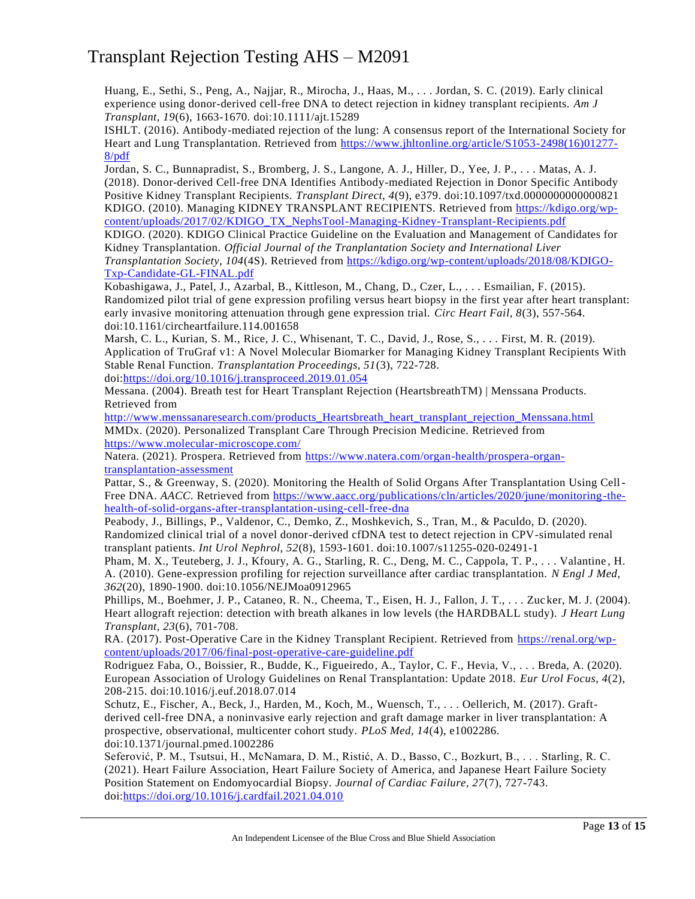Huang, E., Sethi, S., Peng, A., Najjar, R., Mirocha, J., Haas, M., . . . Jordan, S. C. (2019). Early clinical experience using donor-derived cell-free DNA to detect rejection in kidney transplant recipients. *Am J Transplant, 19*(6), 1663-1670. doi:10.1111/ajt.15289

ISHLT. (2016). Antibody-mediated rejection of the lung: A consensus report of the International Society for Heart and Lung Transplantation. Retrieved from [https://www.jhltonline.org/article/S1053-2498\(16\)01277-](https://www.jhltonline.org/article/S1053-2498(16)01277-8/pdf) [8/pdf](https://www.jhltonline.org/article/S1053-2498(16)01277-8/pdf)

Jordan, S. C., Bunnapradist, S., Bromberg, J. S., Langone, A. J., Hiller, D., Yee, J. P., . . . Matas, A. J. (2018). Donor-derived Cell-free DNA Identifies Antibody-mediated Rejection in Donor Specific Antibody Positive Kidney Transplant Recipients. *Transplant Direct, 4*(9), e379. doi:10.1097/txd.0000000000000821 KDIGO. (2010). Managing KIDNEY TRANSPLANT RECIPIENTS. Retrieved from [https://kdigo.org/wp](https://kdigo.org/wp-content/uploads/2017/02/KDIGO_TX_NephsTool-Managing-Kidney-Transplant-Recipients.pdf)[content/uploads/2017/02/KDIGO\\_TX\\_NephsTool-Managing-Kidney-Transplant-Recipients.pdf](https://kdigo.org/wp-content/uploads/2017/02/KDIGO_TX_NephsTool-Managing-Kidney-Transplant-Recipients.pdf)

KDIGO. (2020). KDIGO Clinical Practice Guideline on the Evaluation and Management of Candidates for Kidney Transplantation. *Official Journal of the Tranplantation Society and International Liver Transplantation Society, 104*(4S). Retrieved from [https://kdigo.org/wp-content/uploads/2018/08/KDIGO-](https://kdigo.org/wp-content/uploads/2018/08/KDIGO-Txp-Candidate-GL-FINAL.pdf)[Txp-Candidate-GL-FINAL.pdf](https://kdigo.org/wp-content/uploads/2018/08/KDIGO-Txp-Candidate-GL-FINAL.pdf)

Kobashigawa, J., Patel, J., Azarbal, B., Kittleson, M., Chang, D., Czer, L., . . . Esmailian, F. (2015). Randomized pilot trial of gene expression profiling versus heart biopsy in the first year after heart transplant: early invasive monitoring attenuation through gene expression trial. *Circ Heart Fail, 8*(3), 557-564. doi:10.1161/circheartfailure.114.001658

Marsh, C. L., Kurian, S. M., Rice, J. C., Whisenant, T. C., David, J., Rose, S., . . . First, M. R. (2019). Application of TruGraf v1: A Novel Molecular Biomarker for Managing Kidney Transplant Recipients With Stable Renal Function. *Transplantation Proceedings, 51*(3), 722-728.

doi[:https://doi.org/10.1016/j.transproceed.2019.01.054](https://doi.org/10.1016/j.transproceed.2019.01.054)

Messana. (2004). Breath test for Heart Transplant Rejection (HeartsbreathTM) | Menssana Products. Retrieved from

[http://www.menssanaresearch.com/products\\_Heartsbreath\\_heart\\_transplant\\_rejection\\_Menssana.html](http://www.menssanaresearch.com/products_Heartsbreath_heart_transplant_rejection_Menssana.html) MMDx. (2020). Personalized Transplant Care Through Precision Medicine. Retrieved from <https://www.molecular-microscope.com/>

Natera. (2021). Prospera. Retrieved from [https://www.natera.com/organ-health/prospera-organ](https://www.natera.com/organ-health/prospera-organ-transplantation-assessment)[transplantation-assessment](https://www.natera.com/organ-health/prospera-organ-transplantation-assessment)

Pattar, S., & Greenway, S. (2020). Monitoring the Health of Solid Organs After Transplantation Using Cell-Free DNA. *AACC*. Retrieved from [https://www.aacc.org/publications/cln/articles/2020/june/monitoring-the](https://www.aacc.org/publications/cln/articles/2020/june/monitoring-the-health-of-solid-organs-after-transplantation-using-cell-free-dna)[health-of-solid-organs-after-transplantation-using-cell-free-dna](https://www.aacc.org/publications/cln/articles/2020/june/monitoring-the-health-of-solid-organs-after-transplantation-using-cell-free-dna)

Peabody, J., Billings, P., Valdenor, C., Demko, Z., Moshkevich, S., Tran, M., & Paculdo, D. (2020). Randomized clinical trial of a novel donor-derived cfDNA test to detect rejection in CPV-simulated renal transplant patients. *Int Urol Nephrol, 52*(8), 1593-1601. doi:10.1007/s11255-020-02491-1

Pham, M. X., Teuteberg, J. J., Kfoury, A. G., Starling, R. C., Deng, M. C., Cappola, T. P., . . . Valantine , H. A. (2010). Gene-expression profiling for rejection surveillance after cardiac transplantation. *N Engl J Med, 362*(20), 1890-1900. doi:10.1056/NEJMoa0912965

Phillips, M., Boehmer, J. P., Cataneo, R. N., Cheema, T., Eisen, H. J., Fallon, J. T., . . . Zuc ker, M. J. (2004). Heart allograft rejection: detection with breath alkanes in low levels (the HARDBALL study). *J Heart Lung Transplant, 23*(6), 701-708.

RA. (2017). Post-Operative Care in the Kidney Transplant Recipient. Retrieved from [https://renal.org/wp](https://renal.org/wp-content/uploads/2017/06/final-post-operative-care-guideline.pdf)[content/uploads/2017/06/final-post-operative-care-guideline.pdf](https://renal.org/wp-content/uploads/2017/06/final-post-operative-care-guideline.pdf)

Rodriguez Faba, O., Boissier, R., Budde, K., Figueiredo, A., Taylor, C. F., Hevia, V., . . . Breda, A. (2020). European Association of Urology Guidelines on Renal Transplantation: Update 2018. *Eur Urol Focus, 4*(2), 208-215. doi:10.1016/j.euf.2018.07.014

Schutz, E., Fischer, A., Beck, J., Harden, M., Koch, M., Wuensch, T., . . . Oellerich, M. (2017). Graftderived cell-free DNA, a noninvasive early rejection and graft damage marker in liver transplantation: A prospective, observational, multicenter cohort study. *PLoS Med, 14*(4), e1002286. doi:10.1371/journal.pmed.1002286

Seferović, P. M., Tsutsui, H., McNamara, D. M., Ristić, A. D., Basso, C., Bozkurt, B., . . . Starling, R. C. (2021). Heart Failure Association, Heart Failure Society of America, and Japanese Heart Failure Society Position Statement on Endomyocardial Biopsy. *Journal of Cardiac Failure, 27*(7), 727-743. doi[:https://doi.org/10.1016/j.cardfail.2021.04.010](https://doi.org/10.1016/j.cardfail.2021.04.010)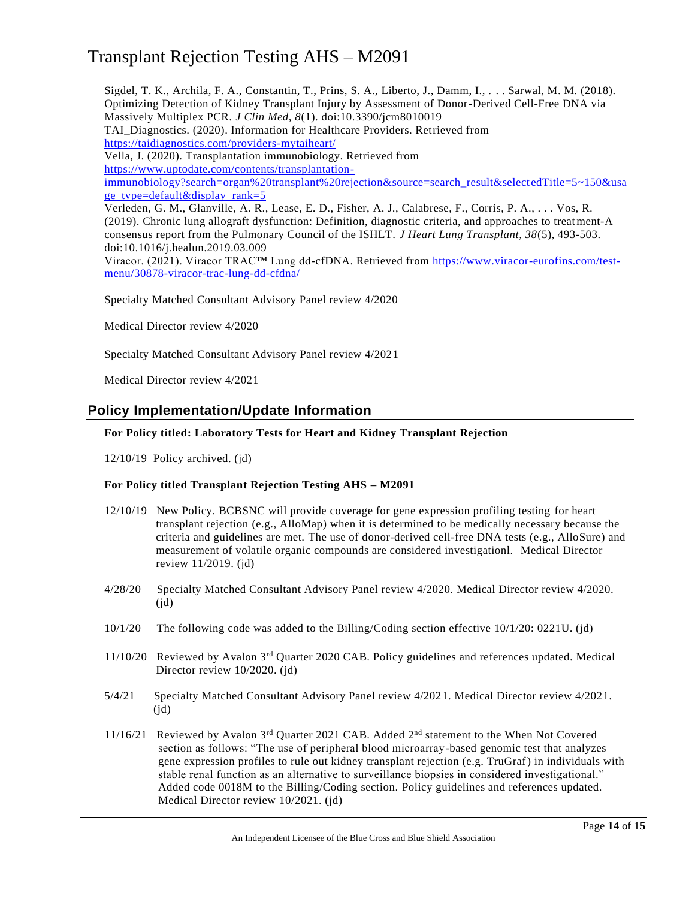Sigdel, T. K., Archila, F. A., Constantin, T., Prins, S. A., Liberto, J., Damm, I., . . . Sarwal, M. M. (2018). Optimizing Detection of Kidney Transplant Injury by Assessment of Donor-Derived Cell-Free DNA via Massively Multiplex PCR. *J Clin Med, 8*(1). doi:10.3390/jcm8010019 TAI\_Diagnostics. (2020). Information for Healthcare Providers. Retrieved from <https://taidiagnostics.com/providers-mytaiheart/> Vella, J. (2020). Transplantation immunobiology. Retrieved from [https://www.uptodate.com/contents/transplantation](https://www.uptodate.com/contents/transplantation-immunobiology?search=organ%20transplant%20rejection&source=search_result&selectedTitle=5~150&usage_type=default&display_rank=5)[immunobiology?search=organ%20transplant%20rejection&source=search\\_result&select](https://www.uptodate.com/contents/transplantation-immunobiology?search=organ%20transplant%20rejection&source=search_result&selectedTitle=5~150&usage_type=default&display_rank=5) edTitle=5~150&usa [ge\\_type=default&display\\_rank=5](https://www.uptodate.com/contents/transplantation-immunobiology?search=organ%20transplant%20rejection&source=search_result&selectedTitle=5~150&usage_type=default&display_rank=5) Verleden, G. M., Glanville, A. R., Lease, E. D., Fisher, A. J., Calabrese, F., Corris, P. A., . . . Vos, R. (2019). Chronic lung allograft dysfunction: Definition, diagnostic criteria, and approaches to treatment-A consensus report from the Pulmonary Council of the ISHLT. *J Heart Lung Transplant, 38*(5), 493-503. doi:10.1016/j.healun.2019.03.009 Viracor. (2021). Viracor TRAC™ Lung dd-cfDNA. Retrieved from [https://www.viracor-eurofins.com/test](https://www.viracor-eurofins.com/test-menu/30878-viracor-trac-lung-dd-cfdna/)[menu/30878-viracor-trac-lung-dd-cfdna/](https://www.viracor-eurofins.com/test-menu/30878-viracor-trac-lung-dd-cfdna/)

Specialty Matched Consultant Advisory Panel review 4/2020

Medical Director review 4/2020

Specialty Matched Consultant Advisory Panel review 4/2021

Medical Director review 4/2021

### **Policy Implementation/Update Information**

#### **For Policy titled: Laboratory Tests for Heart and Kidney Transplant Rejection**

12/10/19 Policy archived. (jd)

#### **For Policy titled Transplant Rejection Testing AHS – M2091**

- 12/10/19 New Policy. BCBSNC will provide coverage for gene expression profiling testing for heart transplant rejection (e.g., AlloMap) when it is determined to be medically necessary because the criteria and guidelines are met. The use of donor-derived cell-free DNA tests (e.g., AlloSure) and measurement of volatile organic compounds are considered investigationl. Medical Director review 11/2019. (jd)
- 4/28/20 Specialty Matched Consultant Advisory Panel review 4/2020. Medical Director review 4/2020.  $(id)$
- 10/1/20 The following code was added to the Billing/Coding section effective 10/1/20: 0221U. (jd)
- 11/10/20 Reviewed by Avalon 3rd Quarter 2020 CAB. Policy guidelines and references updated. Medical Director review 10/2020. (jd)
- 5/4/21 Specialty Matched Consultant Advisory Panel review 4/2021. Medical Director review 4/2021.  $(id)$
- 11/16/21 Reviewed by Avalon 3<sup>rd</sup> Quarter 2021 CAB. Added 2<sup>nd</sup> statement to the When Not Covered section as follows: "The use of peripheral blood microarray-based genomic test that analyzes gene expression profiles to rule out kidney transplant rejection (e.g. TruGraf) in individuals with stable renal function as an alternative to surveillance biopsies in considered investigational." Added code 0018M to the Billing/Coding section. Policy guidelines and references updated. Medical Director review 10/2021. (jd)